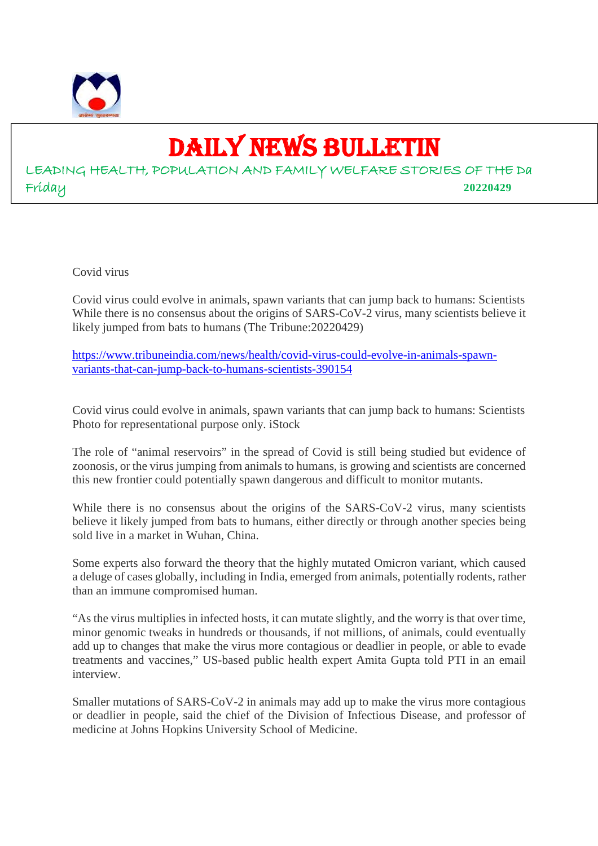

# DAILY NEWS BULLETIN

LEADING HEALTH, POPULATION AND FAMILY WELFARE STORIES OF THE Da Friday **20220429**

Covid virus

Covid virus could evolve in animals, spawn variants that can jump back to humans: Scientists While there is no consensus about the origins of SARS-CoV-2 virus, many scientists believe it likely jumped from bats to humans (The Tribune:20220429)

https://www.tribuneindia.com/news/health/covid-virus-could-evolve-in-animals-spawnvariants-that-can-jump-back-to-humans-scientists-390154

Covid virus could evolve in animals, spawn variants that can jump back to humans: Scientists Photo for representational purpose only. iStock

The role of "animal reservoirs" in the spread of Covid is still being studied but evidence of zoonosis, or the virus jumping from animals to humans, is growing and scientists are concerned this new frontier could potentially spawn dangerous and difficult to monitor mutants.

While there is no consensus about the origins of the SARS-CoV-2 virus, many scientists believe it likely jumped from bats to humans, either directly or through another species being sold live in a market in Wuhan, China.

Some experts also forward the theory that the highly mutated Omicron variant, which caused a deluge of cases globally, including in India, emerged from animals, potentially rodents, rather than an immune compromised human.

"As the virus multiplies in infected hosts, it can mutate slightly, and the worry is that over time, minor genomic tweaks in hundreds or thousands, if not millions, of animals, could eventually add up to changes that make the virus more contagious or deadlier in people, or able to evade treatments and vaccines," US-based public health expert Amita Gupta told PTI in an email interview.

Smaller mutations of SARS-CoV-2 in animals may add up to make the virus more contagious or deadlier in people, said the chief of the Division of Infectious Disease, and professor of medicine at Johns Hopkins University School of Medicine.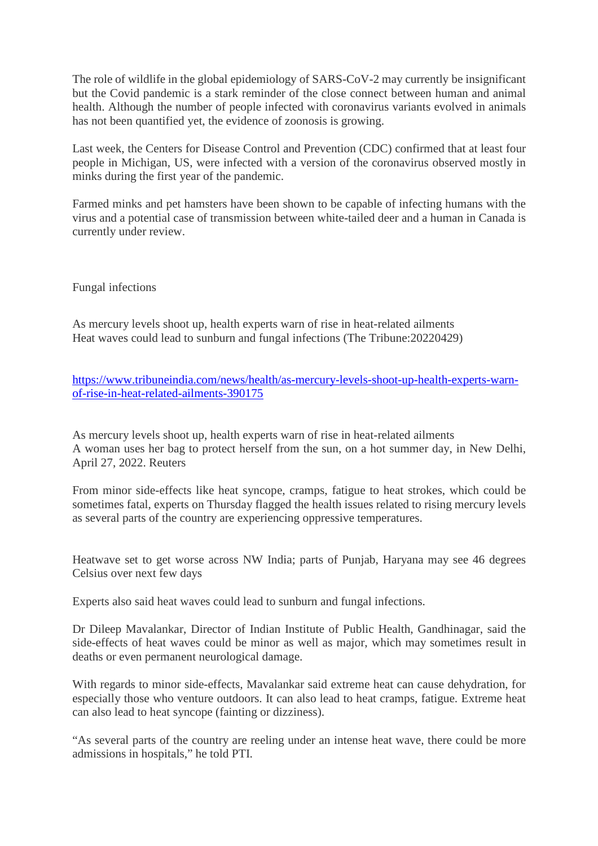The role of wildlife in the global epidemiology of SARS-CoV-2 may currently be insignificant but the Covid pandemic is a stark reminder of the close connect between human and animal health. Although the number of people infected with coronavirus variants evolved in animals has not been quantified yet, the evidence of zoonosis is growing.

Last week, the Centers for Disease Control and Prevention (CDC) confirmed that at least four people in Michigan, US, were infected with a version of the coronavirus observed mostly in minks during the first year of the pandemic.

Farmed minks and pet hamsters have been shown to be capable of infecting humans with the virus and a potential case of transmission between white-tailed deer and a human in Canada is currently under review.

Fungal infections

As mercury levels shoot up, health experts warn of rise in heat-related ailments Heat waves could lead to sunburn and fungal infections (The Tribune:20220429)

https://www.tribuneindia.com/news/health/as-mercury-levels-shoot-up-health-experts-warnof-rise-in-heat-related-ailments-390175

As mercury levels shoot up, health experts warn of rise in heat-related ailments A woman uses her bag to protect herself from the sun, on a hot summer day, in New Delhi, April 27, 2022. Reuters

From minor side-effects like heat syncope, cramps, fatigue to heat strokes, which could be sometimes fatal, experts on Thursday flagged the health issues related to rising mercury levels as several parts of the country are experiencing oppressive temperatures.

Heatwave set to get worse across NW India; parts of Punjab, Haryana may see 46 degrees Celsius over next few days

Experts also said heat waves could lead to sunburn and fungal infections.

Dr Dileep Mavalankar, Director of Indian Institute of Public Health, Gandhinagar, said the side-effects of heat waves could be minor as well as major, which may sometimes result in deaths or even permanent neurological damage.

With regards to minor side-effects, Mavalankar said extreme heat can cause dehydration, for especially those who venture outdoors. It can also lead to heat cramps, fatigue. Extreme heat can also lead to heat syncope (fainting or dizziness).

"As several parts of the country are reeling under an intense heat wave, there could be more admissions in hospitals," he told PTI.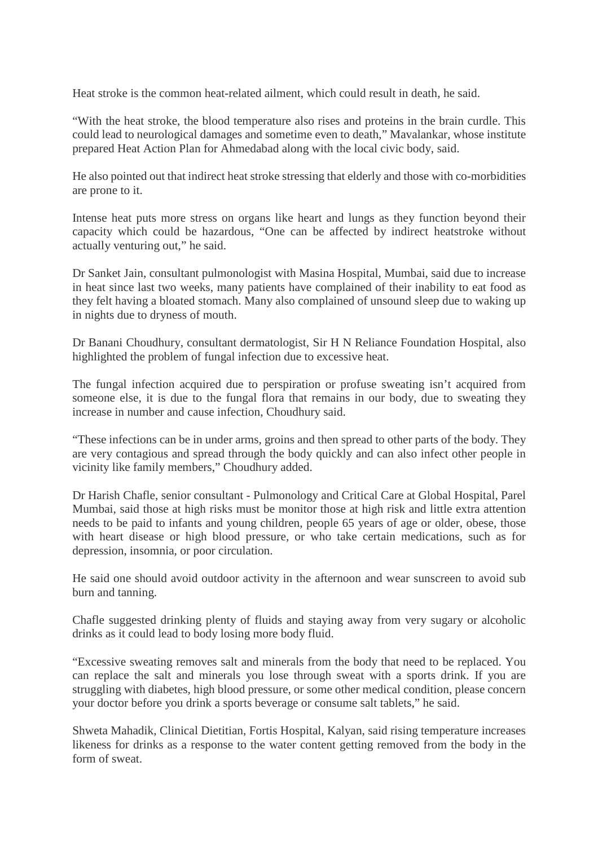Heat stroke is the common heat-related ailment, which could result in death, he said.

"With the heat stroke, the blood temperature also rises and proteins in the brain curdle. This could lead to neurological damages and sometime even to death," Mavalankar, whose institute prepared Heat Action Plan for Ahmedabad along with the local civic body, said.

He also pointed out that indirect heat stroke stressing that elderly and those with co-morbidities are prone to it.

Intense heat puts more stress on organs like heart and lungs as they function beyond their capacity which could be hazardous, "One can be affected by indirect heatstroke without actually venturing out," he said.

Dr Sanket Jain, consultant pulmonologist with Masina Hospital, Mumbai, said due to increase in heat since last two weeks, many patients have complained of their inability to eat food as they felt having a bloated stomach. Many also complained of unsound sleep due to waking up in nights due to dryness of mouth.

Dr Banani Choudhury, consultant dermatologist, Sir H N Reliance Foundation Hospital, also highlighted the problem of fungal infection due to excessive heat.

The fungal infection acquired due to perspiration or profuse sweating isn't acquired from someone else, it is due to the fungal flora that remains in our body, due to sweating they increase in number and cause infection, Choudhury said.

"These infections can be in under arms, groins and then spread to other parts of the body. They are very contagious and spread through the body quickly and can also infect other people in vicinity like family members," Choudhury added.

Dr Harish Chafle, senior consultant - Pulmonology and Critical Care at Global Hospital, Parel Mumbai, said those at high risks must be monitor those at high risk and little extra attention needs to be paid to infants and young children, people 65 years of age or older, obese, those with heart disease or high blood pressure, or who take certain medications, such as for depression, insomnia, or poor circulation.

He said one should avoid outdoor activity in the afternoon and wear sunscreen to avoid sub burn and tanning.

Chafle suggested drinking plenty of fluids and staying away from very sugary or alcoholic drinks as it could lead to body losing more body fluid.

"Excessive sweating removes salt and minerals from the body that need to be replaced. You can replace the salt and minerals you lose through sweat with a sports drink. If you are struggling with diabetes, high blood pressure, or some other medical condition, please concern your doctor before you drink a sports beverage or consume salt tablets," he said.

Shweta Mahadik, Clinical Dietitian, Fortis Hospital, Kalyan, said rising temperature increases likeness for drinks as a response to the water content getting removed from the body in the form of sweat.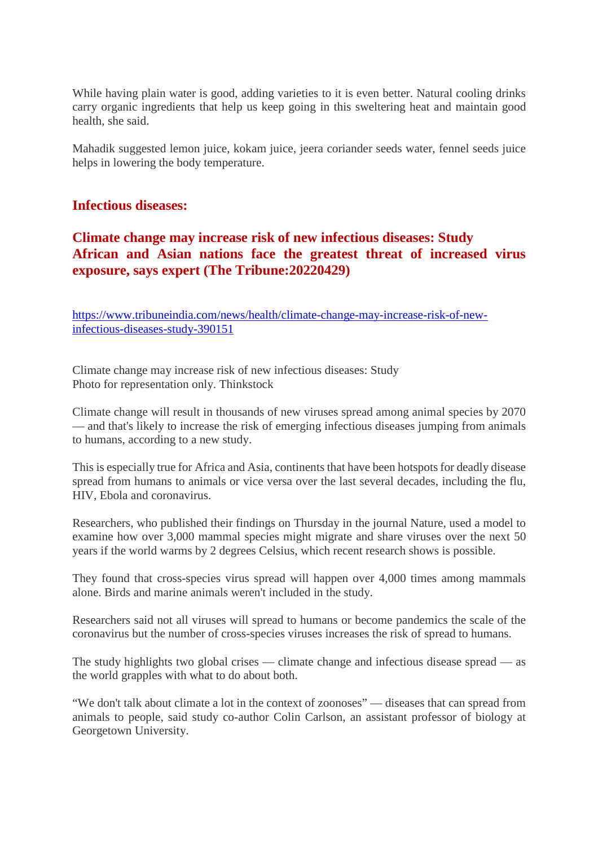While having plain water is good, adding varieties to it is even better. Natural cooling drinks carry organic ingredients that help us keep going in this sweltering heat and maintain good health, she said.

Mahadik suggested lemon juice, kokam juice, jeera coriander seeds water, fennel seeds juice helps in lowering the body temperature.

#### **Infectious diseases:**

# **Climate change may increase risk of new infectious diseases: Study African and Asian nations face the greatest threat of increased virus exposure, says expert (The Tribune:20220429)**

https://www.tribuneindia.com/news/health/climate-change-may-increase-risk-of-newinfectious-diseases-study-390151

Climate change may increase risk of new infectious diseases: Study Photo for representation only. Thinkstock

Climate change will result in thousands of new viruses spread among animal species by 2070 — and that's likely to increase the risk of emerging infectious diseases jumping from animals to humans, according to a new study.

This is especially true for Africa and Asia, continents that have been hotspots for deadly disease spread from humans to animals or vice versa over the last several decades, including the flu, HIV, Ebola and coronavirus.

Researchers, who published their findings on Thursday in the journal Nature, used a model to examine how over 3,000 mammal species might migrate and share viruses over the next 50 years if the world warms by 2 degrees Celsius, which recent research shows is possible.

They found that cross-species virus spread will happen over 4,000 times among mammals alone. Birds and marine animals weren't included in the study.

Researchers said not all viruses will spread to humans or become pandemics the scale of the coronavirus but the number of cross-species viruses increases the risk of spread to humans.

The study highlights two global crises — climate change and infectious disease spread — as the world grapples with what to do about both.

"We don't talk about climate a lot in the context of zoonoses" — diseases that can spread from animals to people, said study co-author Colin Carlson, an assistant professor of biology at Georgetown University.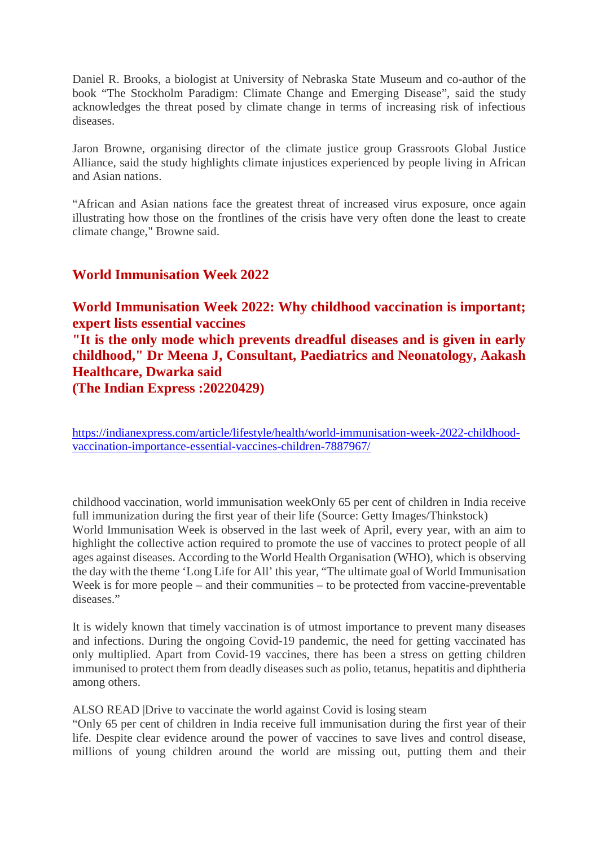Daniel R. Brooks, a biologist at University of Nebraska State Museum and co-author of the book "The Stockholm Paradigm: Climate Change and Emerging Disease", said the study acknowledges the threat posed by climate change in terms of increasing risk of infectious diseases.

Jaron Browne, organising director of the climate justice group Grassroots Global Justice Alliance, said the study highlights climate injustices experienced by people living in African and Asian nations.

"African and Asian nations face the greatest threat of increased virus exposure, once again illustrating how those on the frontlines of the crisis have very often done the least to create climate change," Browne said.

## **World Immunisation Week 2022**

**World Immunisation Week 2022: Why childhood vaccination is important; expert lists essential vaccines "It is the only mode which prevents dreadful diseases and is given in early childhood," Dr Meena J, Consultant, Paediatrics and Neonatology, Aakash Healthcare, Dwarka said (The Indian Express :20220429)**

https://indianexpress.com/article/lifestyle/health/world-immunisation-week-2022-childhoodvaccination-importance-essential-vaccines-children-7887967/

childhood vaccination, world immunisation weekOnly 65 per cent of children in India receive full immunization during the first year of their life (Source: Getty Images/Thinkstock) World Immunisation Week is observed in the last week of April, every year, with an aim to highlight the collective action required to promote the use of vaccines to protect people of all ages against diseases. According to the World Health Organisation (WHO), which is observing the day with the theme 'Long Life for All' this year, "The ultimate goal of World Immunisation Week is for more people – and their communities – to be protected from vaccine-preventable diseases."

It is widely known that timely vaccination is of utmost importance to prevent many diseases and infections. During the ongoing Covid-19 pandemic, the need for getting vaccinated has only multiplied. Apart from Covid-19 vaccines, there has been a stress on getting children immunised to protect them from deadly diseases such as polio, tetanus, hepatitis and diphtheria among others.

ALSO READ |Drive to vaccinate the world against Covid is losing steam

"Only 65 per cent of children in India receive full immunisation during the first year of their life. Despite clear evidence around the power of vaccines to save lives and control disease, millions of young children around the world are missing out, putting them and their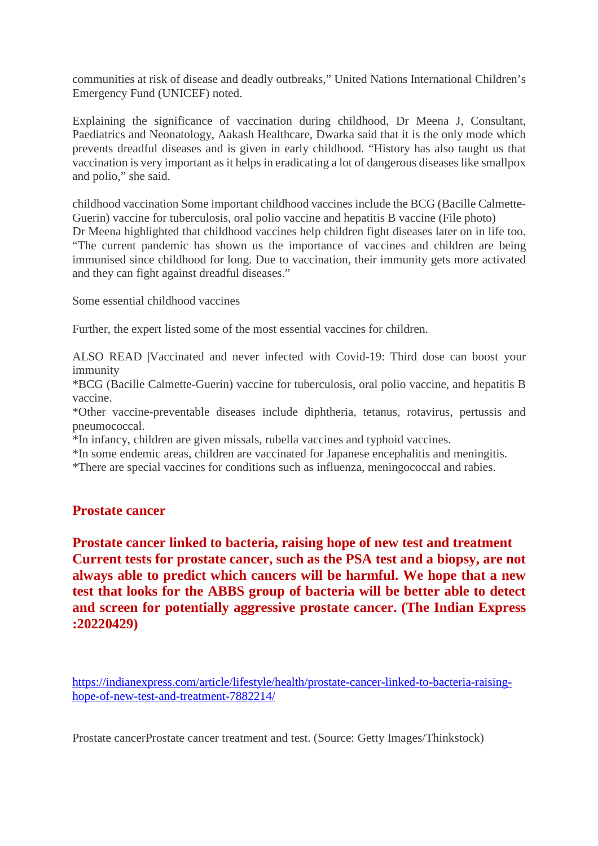communities at risk of disease and deadly outbreaks," United Nations International Children's Emergency Fund (UNICEF) noted.

Explaining the significance of vaccination during childhood, Dr Meena J, Consultant, Paediatrics and Neonatology, Aakash Healthcare, Dwarka said that it is the only mode which prevents dreadful diseases and is given in early childhood. "History has also taught us that vaccination is very important as it helps in eradicating a lot of dangerous diseases like smallpox and polio," she said.

childhood vaccination Some important childhood vaccines include the BCG (Bacille Calmette-Guerin) vaccine for tuberculosis, oral polio vaccine and hepatitis B vaccine (File photo) Dr Meena highlighted that childhood vaccines help children fight diseases later on in life too. "The current pandemic has shown us the importance of vaccines and children are being immunised since childhood for long. Due to vaccination, their immunity gets more activated and they can fight against dreadful diseases."

Some essential childhood vaccines

Further, the expert listed some of the most essential vaccines for children.

ALSO READ |Vaccinated and never infected with Covid-19: Third dose can boost your immunity

\*BCG (Bacille Calmette-Guerin) vaccine for tuberculosis, oral polio vaccine, and hepatitis B vaccine.

\*Other vaccine-preventable diseases include diphtheria, tetanus, rotavirus, pertussis and pneumococcal.

\*In infancy, children are given missals, rubella vaccines and typhoid vaccines.

\*In some endemic areas, children are vaccinated for Japanese encephalitis and meningitis.

\*There are special vaccines for conditions such as influenza, meningococcal and rabies.

## **Prostate cancer**

**Prostate cancer linked to bacteria, raising hope of new test and treatment Current tests for prostate cancer, such as the PSA test and a biopsy, are not always able to predict which cancers will be harmful. We hope that a new test that looks for the ABBS group of bacteria will be better able to detect and screen for potentially aggressive prostate cancer. (The Indian Express :20220429)**

https://indianexpress.com/article/lifestyle/health/prostate-cancer-linked-to-bacteria-raisinghope-of-new-test-and-treatment-7882214/

Prostate cancerProstate cancer treatment and test. (Source: Getty Images/Thinkstock)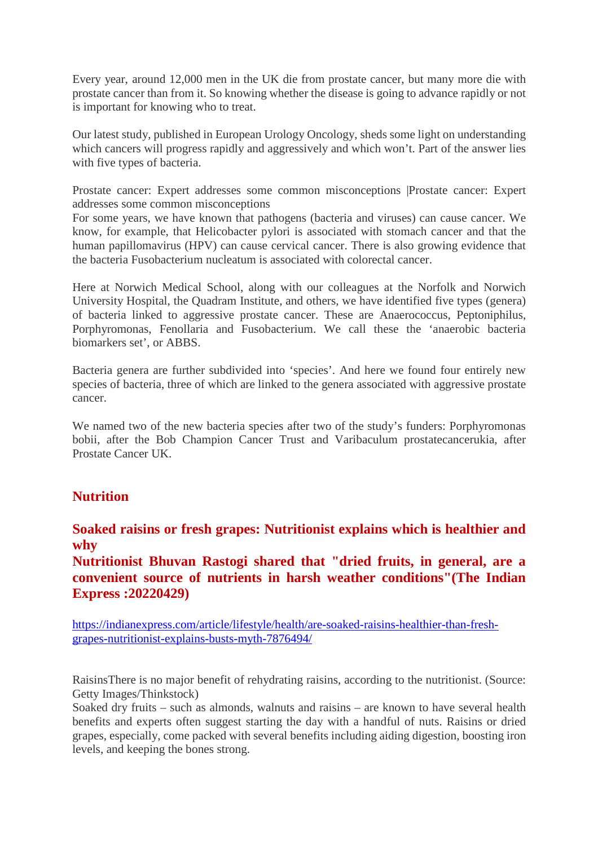Every year, around 12,000 men in the UK die from prostate cancer, but many more die with prostate cancer than from it. So knowing whether the disease is going to advance rapidly or not is important for knowing who to treat.

Our latest study, published in European Urology Oncology, sheds some light on understanding which cancers will progress rapidly and aggressively and which won't. Part of the answer lies with five types of bacteria.

Prostate cancer: Expert addresses some common misconceptions |Prostate cancer: Expert addresses some common misconceptions

For some years, we have known that pathogens (bacteria and viruses) can cause cancer. We know, for example, that Helicobacter pylori is associated with stomach cancer and that the human papillomavirus (HPV) can cause cervical cancer. There is also growing evidence that the bacteria Fusobacterium nucleatum is associated with colorectal cancer.

Here at Norwich Medical School, along with our colleagues at the Norfolk and Norwich University Hospital, the Quadram Institute, and others, we have identified five types (genera) of bacteria linked to aggressive prostate cancer. These are Anaerococcus, Peptoniphilus, Porphyromonas, Fenollaria and Fusobacterium. We call these the 'anaerobic bacteria biomarkers set', or ABBS.

Bacteria genera are further subdivided into 'species'. And here we found four entirely new species of bacteria, three of which are linked to the genera associated with aggressive prostate cancer.

We named two of the new bacteria species after two of the study's funders: Porphyromonas bobii, after the Bob Champion Cancer Trust and Varibaculum prostatecancerukia, after Prostate Cancer UK.

# **Nutrition**

**Soaked raisins or fresh grapes: Nutritionist explains which is healthier and why**

**Nutritionist Bhuvan Rastogi shared that "dried fruits, in general, are a convenient source of nutrients in harsh weather conditions"(The Indian Express :20220429)**

https://indianexpress.com/article/lifestyle/health/are-soaked-raisins-healthier-than-freshgrapes-nutritionist-explains-busts-myth-7876494/

RaisinsThere is no major benefit of rehydrating raisins, according to the nutritionist. (Source: Getty Images/Thinkstock)

Soaked dry fruits – such as almonds, walnuts and raisins – are known to have several health benefits and experts often suggest starting the day with a handful of nuts. Raisins or dried grapes, especially, come packed with several benefits including aiding digestion, boosting iron levels, and keeping the bones strong.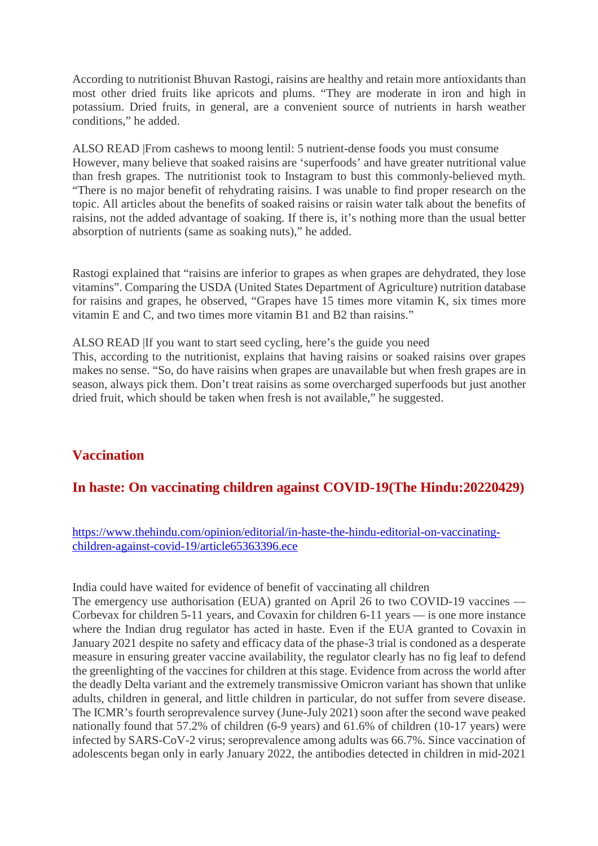According to nutritionist Bhuvan Rastogi, raisins are healthy and retain more antioxidants than most other dried fruits like apricots and plums. "They are moderate in iron and high in potassium. Dried fruits, in general, are a convenient source of nutrients in harsh weather conditions," he added.

ALSO READ |From cashews to moong lentil: 5 nutrient-dense foods you must consume However, many believe that soaked raisins are 'superfoods' and have greater nutritional value than fresh grapes. The nutritionist took to Instagram to bust this commonly-believed myth. "There is no major benefit of rehydrating raisins. I was unable to find proper research on the topic. All articles about the benefits of soaked raisins or raisin water talk about the benefits of raisins, not the added advantage of soaking. If there is, it's nothing more than the usual better absorption of nutrients (same as soaking nuts)," he added.

Rastogi explained that "raisins are inferior to grapes as when grapes are dehydrated, they lose vitamins". Comparing the USDA (United States Department of Agriculture) nutrition database for raisins and grapes, he observed, "Grapes have 15 times more vitamin K, six times more vitamin E and C, and two times more vitamin B1 and B2 than raisins."

ALSO READ |If you want to start seed cycling, here's the guide you need

This, according to the nutritionist, explains that having raisins or soaked raisins over grapes makes no sense. "So, do have raisins when grapes are unavailable but when fresh grapes are in season, always pick them. Don't treat raisins as some overcharged superfoods but just another dried fruit, which should be taken when fresh is not available," he suggested.

# **Vaccination**

# **In haste: On vaccinating children against COVID-19(The Hindu:20220429)**

https://www.thehindu.com/opinion/editorial/in-haste-the-hindu-editorial-on-vaccinatingchildren-against-covid-19/article65363396.ece

India could have waited for evidence of benefit of vaccinating all children

The emergency use authorisation (EUA) granted on April 26 to two COVID-19 vaccines — Corbevax for children 5-11 years, and Covaxin for children 6-11 years — is one more instance where the Indian drug regulator has acted in haste. Even if the EUA granted to Covaxin in January 2021 despite no safety and efficacy data of the phase-3 trial is condoned as a desperate measure in ensuring greater vaccine availability, the regulator clearly has no fig leaf to defend the greenlighting of the vaccines for children at this stage. Evidence from across the world after the deadly Delta variant and the extremely transmissive Omicron variant has shown that unlike adults, children in general, and little children in particular, do not suffer from severe disease. The ICMR's fourth seroprevalence survey (June-July 2021) soon after the second wave peaked nationally found that 57.2% of children (6-9 years) and 61.6% of children (10-17 years) were infected by SARS-CoV-2 virus; seroprevalence among adults was 66.7%. Since vaccination of adolescents began only in early January 2022, the antibodies detected in children in mid-2021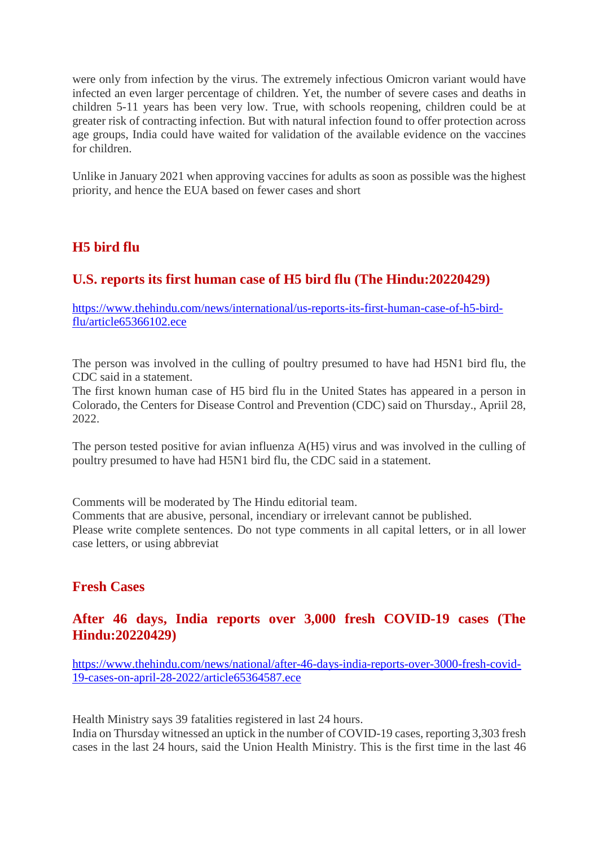were only from infection by the virus. The extremely infectious Omicron variant would have infected an even larger percentage of children. Yet, the number of severe cases and deaths in children 5-11 years has been very low. True, with schools reopening, children could be at greater risk of contracting infection. But with natural infection found to offer protection across age groups, India could have waited for validation of the available evidence on the vaccines for children.

Unlike in January 2021 when approving vaccines for adults as soon as possible was the highest priority, and hence the EUA based on fewer cases and short

# **H5 bird flu**

# **U.S. reports its first human case of H5 bird flu (The Hindu:20220429)**

https://www.thehindu.com/news/international/us-reports-its-first-human-case-of-h5-birdflu/article65366102.ece

The person was involved in the culling of poultry presumed to have had H5N1 bird flu, the CDC said in a statement.

The first known human case of H5 bird flu in the United States has appeared in a person in Colorado, the Centers for Disease Control and Prevention (CDC) said on Thursday., Apriil 28, 2022.

The person tested positive for avian influenza A(H5) virus and was involved in the culling of poultry presumed to have had H5N1 bird flu, the CDC said in a statement.

Comments will be moderated by The Hindu editorial team.

Comments that are abusive, personal, incendiary or irrelevant cannot be published. Please write complete sentences. Do not type comments in all capital letters, or in all lower case letters, or using abbreviat

# **Fresh Cases**

## **After 46 days, India reports over 3,000 fresh COVID-19 cases (The Hindu:20220429)**

https://www.thehindu.com/news/national/after-46-days-india-reports-over-3000-fresh-covid-19-cases-on-april-28-2022/article65364587.ece

Health Ministry says 39 fatalities registered in last 24 hours.

India on Thursday witnessed an uptick in the number of COVID-19 cases, reporting 3,303 fresh cases in the last 24 hours, said the Union Health Ministry. This is the first time in the last 46